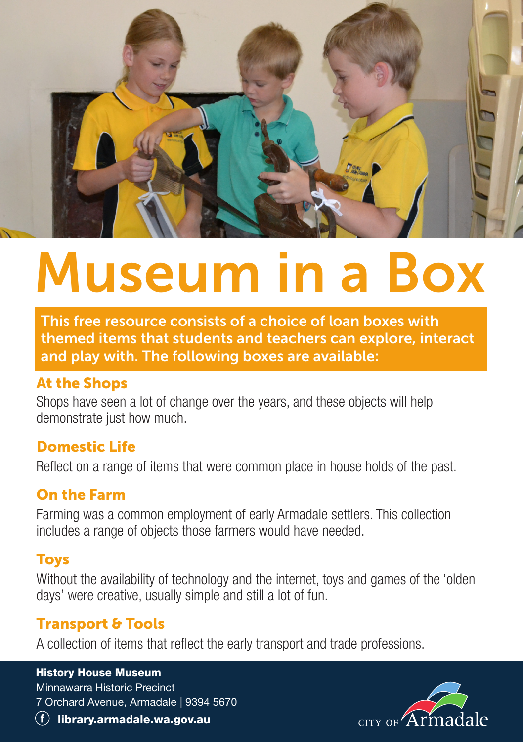

# Museum in a Box

This free resource consists of a choice of loan boxes with themed items that students and teachers can explore, interact and play with. The following boxes are available:

### At the Shops

Shops have seen a lot of change over the years, and these objects will help demonstrate just how much.

### Domestic Life

Reflect on a range of items that were common place in house holds of the past.

### On the Farm

Farming was a common employment of early Armadale settlers. This collection includes a range of objects those farmers would have needed.

### Toys

Without the availability of technology and the internet, toys and games of the 'olden days' were creative, usually simple and still a lot of fun.

# Transport & Tools

A collection of items that reflect the early transport and trade professions.

#### History House Museum

Minnawarra Historic Precinct 7 Orchard Avenue, Armadale | 9394 5670



 $\left( f\right)$  library.armadale.wa.gov.au